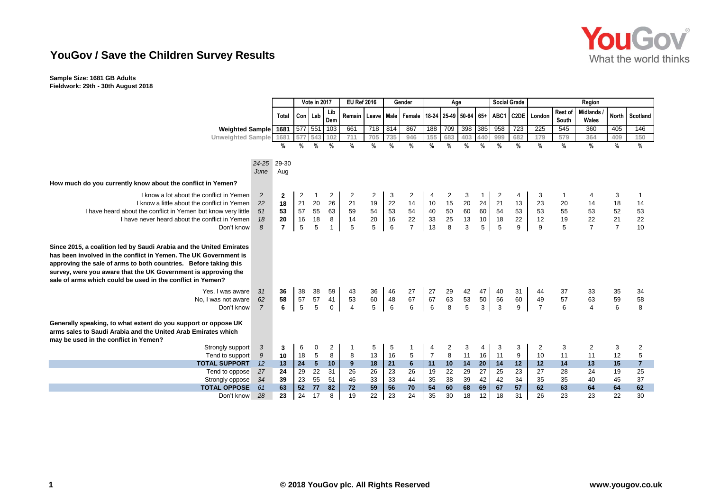

### **YouGov / Save the Children Survey Results**

### **Sample Size: 1681 GB Adults Fieldwork: 29th - 30th August 2018**

|                                                                                                                                                                                                                                                                                                                                             |                      |                |                | Vote in 2017    |                   | <b>EU Ref 2016</b>                                           |                | Gender                |                      | Age             |                                         |                |               | <b>Social Grade</b> |                  | Region               |                                        |                          |                |                |  |
|---------------------------------------------------------------------------------------------------------------------------------------------------------------------------------------------------------------------------------------------------------------------------------------------------------------------------------------------|----------------------|----------------|----------------|-----------------|-------------------|--------------------------------------------------------------|----------------|-----------------------|----------------------|-----------------|-----------------------------------------|----------------|---------------|---------------------|------------------|----------------------|----------------------------------------|--------------------------|----------------|----------------|--|
|                                                                                                                                                                                                                                                                                                                                             |                      | Total          |                | Con Lab         | Lib<br>Dem        | Remain   Leave   Male   Female   18-24   25-49   50-64   65+ |                |                       |                      |                 |                                         |                |               |                     |                  | ABC1 C2DE London     | Rest of<br>South                       | <b>Midlands</b><br>Wales |                | North Scotland |  |
| Weighted Sample 1681                                                                                                                                                                                                                                                                                                                        |                      |                |                | 577 551         | 103               | 661                                                          | 718            | 814                   | 867                  | 188             | 709                                     | 398 385        |               | 958                 | 723              | 225                  | 545                                    | 360                      | 405            | 146            |  |
| Unweighted Sample                                                                                                                                                                                                                                                                                                                           |                      | 1681           | 577            | 543             | 102               | 711                                                          | 705            | 735                   | 946                  | 155             | 683                                     | 403            | 440           | 999                 | 682              | 179                  | 579                                    | 364                      | 409            | 150            |  |
|                                                                                                                                                                                                                                                                                                                                             |                      | %              | %              | $\%$            | %                 | %                                                            | %              | %                     | %                    | %               | $\frac{0}{0}$                           | $\frac{0}{0}$  | $\frac{9}{6}$ | $\frac{9}{6}$       | %                | $\frac{9}{6}$        | $\frac{9}{6}$                          | %                        | $\%$           | $\%$           |  |
|                                                                                                                                                                                                                                                                                                                                             | $24 - 25$<br>June    | 29-30<br>Aug   |                |                 |                   |                                                              |                |                       |                      |                 |                                         |                |               |                     |                  |                      |                                        |                          |                |                |  |
| How much do you currently know about the conflict in Yemen?                                                                                                                                                                                                                                                                                 |                      |                |                |                 |                   |                                                              |                |                       |                      |                 |                                         |                |               |                     |                  |                      |                                        |                          |                |                |  |
| I know a lot about the conflict in Yemen                                                                                                                                                                                                                                                                                                    | $\overline{c}$       | 2              | $\overline{c}$ |                 | 2                 | 2                                                            | $\overline{c}$ | 3                     | 2                    | 4               | 2                                       | 3              |               | 2                   | 4                | 3                    | -1                                     |                          | 3              | -1             |  |
| I know a little about the conflict in Yemen<br>I have heard about the conflict in Yemen but know very little                                                                                                                                                                                                                                | 22<br>51             | 18<br>53       | $21$<br>57     | 20<br>55        | 26<br>63          | 21                                                           | 19             | 22                    | 14                   | 10              | 15                                      | 20<br>60       | 24<br>60      | 21<br>54            | 13<br>53         | 23                   | 20                                     | 14                       | 18<br>52       | 14             |  |
| I have never heard about the conflict in Yemen                                                                                                                                                                                                                                                                                              | 18                   | ${\bf 20}$     | 16             | 18              | 8                 | 59<br>14                                                     | 54<br>20       | 53<br>16              | 54<br>22<br>7        | 40              | $\begin{array}{c} 50 \\ 25 \end{array}$ | 13             | 10            | 18                  | 22               | 53<br>12             | 55<br>19<br>5                          | 53<br>22                 | 21             | 53<br>22       |  |
| Don't know                                                                                                                                                                                                                                                                                                                                  | 8                    | $\overline{7}$ | $\sqrt{5}$     | 5               |                   | $\overline{5}$                                               | 5              | 6                     |                      | $\frac{33}{13}$ | 8                                       | 3              | 5             | 5                   | $\boldsymbol{9}$ | $\boldsymbol{9}$     |                                        | $\overline{7}$           | $\overline{7}$ | 10             |  |
| Since 2015, a coalition led by Saudi Arabia and the United Emirates<br>has been involved in the conflict in Yemen. The UK Government is<br>approving the sale of arms to both countries. Before taking this<br>survey, were you aware that the UK Government is approving the<br>sale of arms which could be used in the conflict in Yemen? |                      |                |                |                 |                   |                                                              |                |                       |                      |                 |                                         |                |               |                     |                  |                      |                                        |                          |                |                |  |
| Yes. I was aware                                                                                                                                                                                                                                                                                                                            | 31                   | 36<br>58       | 38<br>57       | 38<br>57        | 59                | 43                                                           | $36\,$         | 46                    | 27<br>67             | 27<br>67        | 29                                      | 42             | 47            | 40                  | 31               | 44                   | 37                                     | 33                       | 35             | 34             |  |
| No, I was not aware<br>Don't know                                                                                                                                                                                                                                                                                                           | 62<br>$\overline{7}$ | 6              | 5              | $\overline{5}$  | 41<br>$\mathbf 0$ | 53<br>$\overline{4}$                                         | 60<br>5        | 48<br>$6\phantom{1}6$ | 6                    | $6\phantom{a}$  | 63<br>8                                 | $\frac{53}{5}$ | 50<br>3       | 56<br>$\mathbf{3}$  | 60<br>9          | 49<br>$\overline{7}$ | $\begin{array}{c} 57 \\ 6 \end{array}$ | 63<br>$\overline{4}$     | 59<br>6        | 58<br>8        |  |
| Generally speaking, to what extent do you support or oppose UK<br>arms sales to Saudi Arabia and the United Arab Emirates which<br>may be used in the conflict in Yemen?                                                                                                                                                                    |                      |                |                |                 |                   |                                                              |                |                       |                      |                 |                                         |                |               |                     |                  |                      |                                        |                          |                |                |  |
| Strongly support                                                                                                                                                                                                                                                                                                                            | 3                    | 3              | 6              | 0               | $\overline{c}$    |                                                              | 5              | 5                     |                      |                 | $\begin{array}{c} 2 \\ 8 \end{array}$   | 3              |               | 3                   | 3                | 2                    | 3                                      | 2                        | 3              | 2              |  |
| Tend to support                                                                                                                                                                                                                                                                                                                             | 9                    | 10             | 18             | 5               | 8                 | 8                                                            | 13             | 16                    | 5                    | $\overline{7}$  |                                         | 11             | 16            | 11                  | 9                | 10                   | 11                                     | 11                       | 12             | $\overline{5}$ |  |
| <b>TOTAL SUPPORT</b>                                                                                                                                                                                                                                                                                                                        | 12                   | 13<br>24       | 24<br>29       | $5\phantom{.0}$ | 10<br>31          | 9                                                            | 18<br>26       | 21                    | $6\phantom{1}$<br>26 | 11              | $10$<br>22                              | 14             | 20<br>27      | 14                  | 12               | 12<br>27             | $14$                                   | 13                       | 15             | $\overline{7}$ |  |
| Tend to oppose                                                                                                                                                                                                                                                                                                                              | 27<br>34             | 39             | 23             | 22<br>55        | 51                | 26<br>46                                                     | 33             | 23<br>33              | 44                   | 19<br>35        | 38                                      | 29<br>39       | 42            | 25<br>42            | 23<br>34         | 35                   | 28<br>35                               | 24<br>40                 | 19<br>45       | 25<br>37       |  |
| Strongly oppose<br><b>TOTAL OPPOSE</b>                                                                                                                                                                                                                                                                                                      | 61                   | 63             | 52             | 77              | 82                | 72                                                           | 59             | 56                    | 70                   | 54              | 60                                      | 68             | 69            | 67                  | 57               | 62                   | 63                                     | 64                       | 64             | 62             |  |
| Don't know                                                                                                                                                                                                                                                                                                                                  | 28                   | 23             | 24             | 17              | 8                 | 19                                                           | 22             | 23                    | 24                   | 35              | 30                                      | 18             | 12            | 18                  | 31               | 26                   | 23                                     | 23                       | 22             | 30             |  |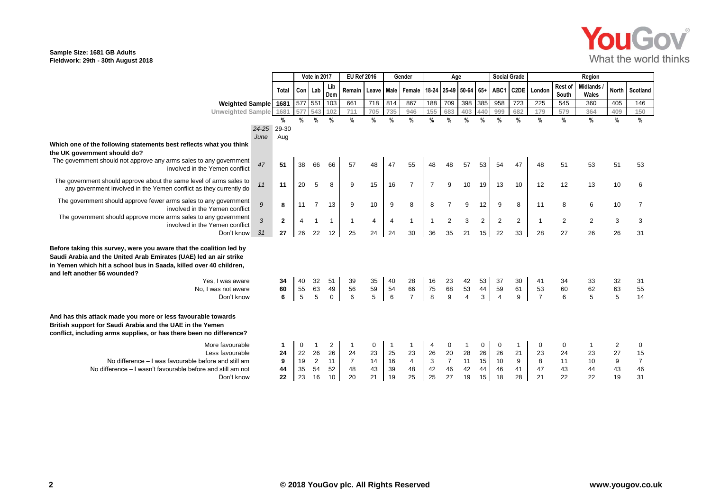## YouGov® What the world thinks

### **Sample Size: 1681 GB Adults Fieldwork: 29th - 30th August 2018**

|                                                                                                                                                                                                                                                                                                         |                  |              | Vote in 2017  |                |                      | <b>EU Ref 2016</b> |                   | Gender                     |                | Age                       |                          |                                     |                | <b>Social Grade</b>        |                   | Region                     |                  |                          |                            |                |  |
|---------------------------------------------------------------------------------------------------------------------------------------------------------------------------------------------------------------------------------------------------------------------------------------------------------|------------------|--------------|---------------|----------------|----------------------|--------------------|-------------------|----------------------------|----------------|---------------------------|--------------------------|-------------------------------------|----------------|----------------------------|-------------------|----------------------------|------------------|--------------------------|----------------------------|----------------|--|
|                                                                                                                                                                                                                                                                                                         |                  | <b>Total</b> | Con Lab       |                | Lib<br>Dem           | Remain Leave       |                   | <b>Male</b>                | Female         |                           |                          | 18-24 25-49 50-64 65+               |                | ABC1                       | C <sub>2</sub> DE | London                     | Rest of<br>South | <b>Midlands</b><br>Wales |                            | North Scotland |  |
| Weighted Sample 1681                                                                                                                                                                                                                                                                                    |                  |              | 577 551 103   |                |                      | 661                | 718               | 814                        | 867            | 188                       | 709                      | 398 385                             |                | 958                        | 723               | 225                        | 545              | 360                      | 405                        | 146            |  |
| <b>Unweighted Sample</b>                                                                                                                                                                                                                                                                                |                  | 1681         | 577           | 543 102        |                      | 711                | 705               | 735                        | 946            | 155                       | 683                      | 403                                 | 440            | 999                        | 682               | 179                        | 579              | 364                      | 409                        | 150            |  |
|                                                                                                                                                                                                                                                                                                         |                  | %            | $\frac{9}{6}$ | $\%$           | $\frac{0}{0}$        | $\frac{0}{0}$      | %                 | $\frac{9}{6}$              | $\frac{9}{6}$  | $\frac{9}{6}$             | $\frac{9}{6}$            | %                                   | $\frac{9}{6}$  | $\frac{9}{6}$              | $\%$              | $\frac{0}{0}$              | $\frac{0}{0}$    | $\%$                     | $\%$                       | $\%$           |  |
|                                                                                                                                                                                                                                                                                                         | 24-25 29-30      |              |               |                |                      |                    |                   |                            |                |                           |                          |                                     |                |                            |                   |                            |                  |                          |                            |                |  |
|                                                                                                                                                                                                                                                                                                         | June             | Aug          |               |                |                      |                    |                   |                            |                |                           |                          |                                     |                |                            |                   |                            |                  |                          |                            |                |  |
| Which one of the following statements best reflects what you think                                                                                                                                                                                                                                      |                  |              |               |                |                      |                    |                   |                            |                |                           |                          |                                     |                |                            |                   |                            |                  |                          |                            |                |  |
| the UK government should do?                                                                                                                                                                                                                                                                            |                  |              |               |                |                      |                    |                   |                            |                |                           |                          |                                     |                |                            |                   |                            |                  |                          |                            |                |  |
| The government should not approve any arms sales to any government<br>involved in the Yemen conflict                                                                                                                                                                                                    | 47               | 51           | 38            | 66             | 66                   | 57                 | 48                | 47                         | 55             | 48                        | 48                       | 57                                  | 53             | 54                         | 47                | 48                         | 51               | 53                       | 51                         | 53             |  |
| The government should approve about the same level of arms sales to<br>any government involved in the Yemen conflict as they currently do                                                                                                                                                               | 11               | 11           | 20            | 5              | 8                    | 9                  | 15                | 16                         | $\overline{7}$ | $\overline{7}$            | 9                        | 10                                  | 19             | 13                         | 10                | 12                         | 12               | 13                       | 10                         | 6              |  |
|                                                                                                                                                                                                                                                                                                         |                  |              |               |                |                      |                    |                   |                            |                |                           |                          |                                     |                |                            |                   |                            |                  |                          |                            |                |  |
| The government should approve fewer arms sales to any government<br>involved in the Yemen conflict                                                                                                                                                                                                      | $\boldsymbol{g}$ | 8            | 11            | $\overline{7}$ | 13                   | 9                  | 10                | 9                          | 8              | 8                         |                          | 9                                   | 12             | 9                          | 8                 | 11                         | 8                | 6                        | 10                         | 7              |  |
| The government should approve more arms sales to any government                                                                                                                                                                                                                                         | $\overline{3}$   | $\mathbf{2}$ |               |                |                      |                    | 4                 | $\overline{4}$             | $\overline{1}$ | $\mathbf{1}$              | $\overline{2}$           | 3                                   | $\overline{c}$ | $\overline{2}$             | $\overline{2}$    | $\overline{1}$             | $\sqrt{2}$       | $\overline{2}$           | 3                          | 3              |  |
| involved in the Yemen conflict                                                                                                                                                                                                                                                                          |                  |              |               |                |                      |                    |                   |                            |                |                           |                          |                                     |                |                            |                   |                            |                  |                          |                            |                |  |
| Don't know                                                                                                                                                                                                                                                                                              | 31               | 27           | 26            | 22             | 12                   | 25                 | 24                | 24                         | 30             | 36                        | 35                       | 21                                  | 15             | 22                         | 33                | 28                         | 27               | 26                       | 26                         | 31             |  |
| Before taking this survey, were you aware that the coalition led by<br>Saudi Arabia and the United Arab Emirates (UAE) led an air strike<br>in Yemen which hit a school bus in Saada, killed over 40 children,<br>and left another 56 wounded?<br>Yes. I was aware<br>No, I was not aware<br>Don't know |                  | 34<br>60     | 40<br>55<br>5 | 32<br>63<br>5  | 51<br>49<br>$\Omega$ | 39<br>56<br>6      | $35\,$<br>59<br>5 | 40<br>54<br>$6\phantom{a}$ | 28<br>66<br>7  | 16<br>75<br>8             | 23<br>68<br>$\mathbf{Q}$ | 42<br>53<br>$\overline{\mathbf{A}}$ | 53<br>44<br>3  | 37<br>59<br>$\overline{4}$ | 30<br>61<br>9     | 41<br>53<br>$\overline{7}$ | 34<br>60<br>6    | 62<br>5                  | 32<br>63<br>$\overline{5}$ | 31<br>55<br>14 |  |
| And has this attack made you more or less favourable towards<br>British support for Saudi Arabia and the UAE in the Yemen<br>conflict, including arms supplies, or has there been no difference?                                                                                                        |                  |              |               |                |                      |                    |                   |                            |                |                           |                          |                                     |                |                            |                   |                            |                  |                          |                            |                |  |
| More favourable                                                                                                                                                                                                                                                                                         |                  |              | 0             |                | 2                    |                    | 0                 | $\overline{1}$             |                | 4                         | 0                        |                                     | 0              | $\Omega$                   |                   | 0                          | 0                |                          | 2                          | 0              |  |
| Less favourable                                                                                                                                                                                                                                                                                         |                  | 24           | 22            | 26             | 26                   | 24                 | 23                | 25                         | 23             | 26                        | 20                       | 28                                  | 26             | 26                         | 21                | 23                         | 24               | 23                       | 27                         | 15             |  |
| No difference – I was favourable before and still am                                                                                                                                                                                                                                                    |                  | 9            | 19            | $\overline{2}$ | 11                   | $\overline{7}$     | 14                | 16                         | $\overline{4}$ | $\ensuremath{\mathsf{3}}$ | $\overline{7}$           | 11                                  | 15             | 10                         | 9                 | 8                          | 11               | 10                       | 9                          | $\overline{7}$ |  |
| No difference – I wasn't favourable before and still am not                                                                                                                                                                                                                                             |                  | 44           | 35            | 54             | 52                   | 48                 | 43                | 39                         | 48             | 42                        | 46                       | 42                                  | 44             | 46                         | 41                | 47                         | 43               |                          | 43                         | 46             |  |
| Don't know                                                                                                                                                                                                                                                                                              |                  | 22           | 23            | 16             | 10                   | 20                 | 21                | 19                         | 25             | 25                        | 27                       | 19                                  | 15             | 18                         | 28                | 21                         | 22               | 22                       | 19                         | 31             |  |